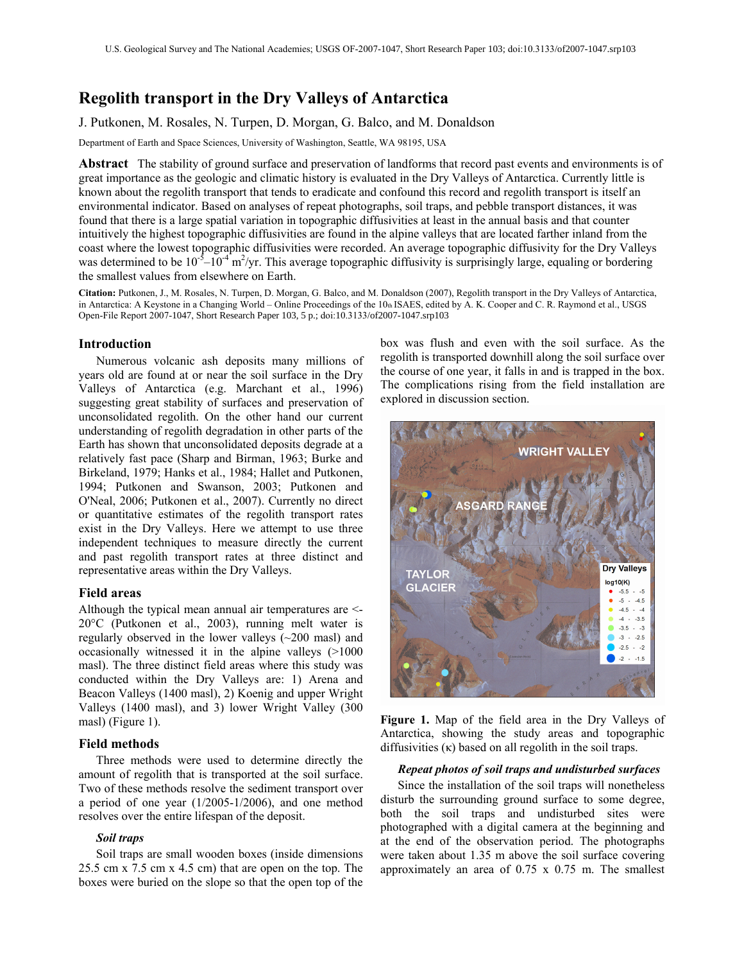# Regolith transport in the Dry Valleys of Antarctica

# J. Putkonen, M. Rosales, N. Turpen, D. Morgan, G. Balco, and M. Donaldson

Department of Earth and Space Sciences, University of Washington, Seattle, WA 98195, USA

Abstract The stability of ground surface and preservation of landforms that record past events and environments is of great importance as the geologic and climatic history is evaluated in the Dry Valleys of Antarctica. Currently little is known about the regolith transport that tends to eradicate and confound this record and regolith transport is itself an environmental indicator. Based on analyses of repeat photographs, soil traps, and pebble transport distances, it was found that there is a large spatial variation in topographic diffusivities at least in the annual basis and that counter intuitively the highest topographic diffusivities are found in the alpine valleys that are located farther inland from the coast where the lowest topographic diffusivities were recorded. An average topographic diffusivity for the Dry Valleys was determined to be  $10^{-5}$ – $10^{-4}$  m<sup>2</sup>/yr. This average topographic diffusivity is surprisingly large, equaling or bordering the smallest values from elsewhere on Earth.

Citation: Putkonen, J., M. Rosales, N. Turpen, D. Morgan, G. Balco, and M. Donaldson (2007), Regolith transport in the Dry Valleys of Antarctica, in Antarctica: A Keystone in a Changing World – Online Proceedings of the 10th ISAES, edited by A. K. Cooper and C. R. Raymond et al., USGS Open-File Report 2007-1047, Short Research Paper 103, 5 p.; doi:10.3133/of2007-1047.srp103

### Introduction

Numerous volcanic ash deposits many millions of years old are found at or near the soil surface in the Dry Valleys of Antarctica (e.g. Marchant et al., 1996) suggesting great stability of surfaces and preservation of unconsolidated regolith. On the other hand our current understanding of regolith degradation in other parts of the Earth has shown that unconsolidated deposits degrade at a relatively fast pace (Sharp and Birman, 1963; Burke and Birkeland, 1979; Hanks et al., 1984; Hallet and Putkonen, 1994; Putkonen and Swanson, 2003; Putkonen and O'Neal, 2006; Putkonen et al., 2007). Currently no direct or quantitative estimates of the regolith transport rates exist in the Dry Valleys. Here we attempt to use three independent techniques to measure directly the current and past regolith transport rates at three distinct and representative areas within the Dry Valleys.

#### Field areas

Although the typical mean annual air temperatures are <- 20°C (Putkonen et al., 2003), running melt water is regularly observed in the lower valleys (~200 masl) and occasionally witnessed it in the alpine valleys (>1000 masl). The three distinct field areas where this study was conducted within the Dry Valleys are: 1) Arena and Beacon Valleys (1400 masl), 2) Koenig and upper Wright Valleys (1400 masl), and 3) lower Wright Valley (300 masl) (Figure 1).

#### Field methods

Three methods were used to determine directly the amount of regolith that is transported at the soil surface. Two of these methods resolve the sediment transport over a period of one year (1/2005-1/2006), and one method resolves over the entire lifespan of the deposit.

#### Soil traps

Soil traps are small wooden boxes (inside dimensions 25.5 cm x 7.5 cm x 4.5 cm) that are open on the top. The boxes were buried on the slope so that the open top of the box was flush and even with the soil surface. As the regolith is transported downhill along the soil surface over the course of one year, it falls in and is trapped in the box. The complications rising from the field installation are explored in discussion section.



Figure 1. Map of the field area in the Dry Valleys of Antarctica, showing the study areas and topographic diffusivities  $(\kappa)$  based on all regolith in the soil traps.

## Repeat photos of soil traps and undisturbed surfaces

Since the installation of the soil traps will nonetheless disturb the surrounding ground surface to some degree, both the soil traps and undisturbed sites were photographed with a digital camera at the beginning and at the end of the observation period. The photographs were taken about 1.35 m above the soil surface covering approximately an area of 0.75 x 0.75 m. The smallest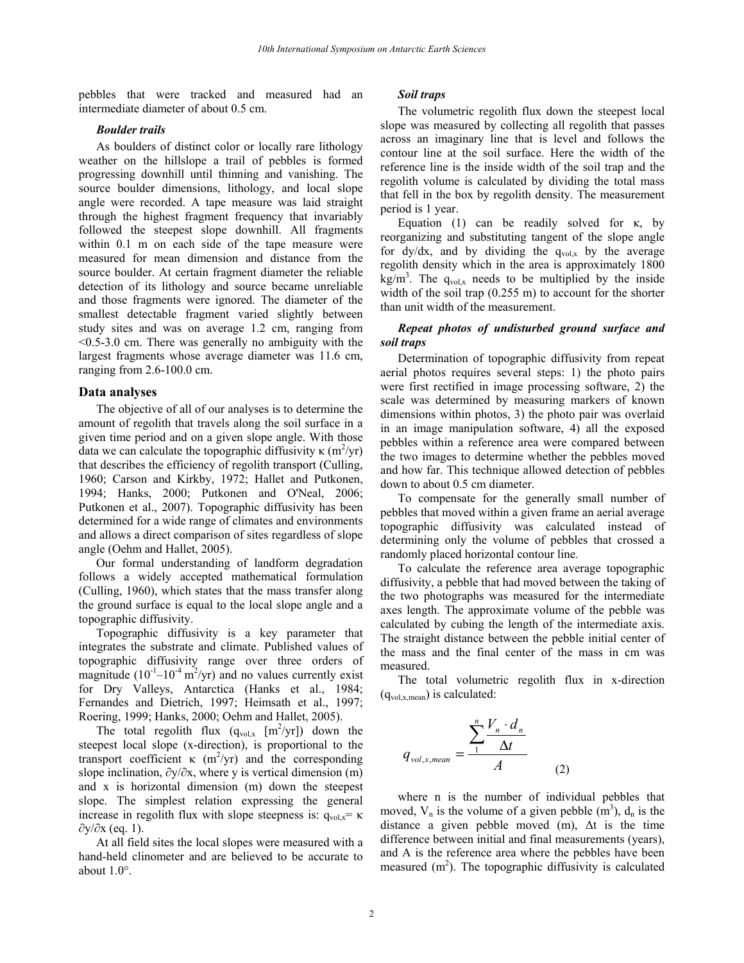pebbles that were tracked and measured had an intermediate diameter of about 0.5 cm.

#### Boulder trails

As boulders of distinct color or locally rare lithology weather on the hillslope a trail of pebbles is formed progressing downhill until thinning and vanishing. The source boulder dimensions, lithology, and local slope angle were recorded. A tape measure was laid straight through the highest fragment frequency that invariably followed the steepest slope downhill. All fragments within 0.1 m on each side of the tape measure were measured for mean dimension and distance from the source boulder. At certain fragment diameter the reliable detection of its lithology and source became unreliable and those fragments were ignored. The diameter of the smallest detectable fragment varied slightly between study sites and was on average 1.2 cm, ranging from <0.5-3.0 cm. There was generally no ambiguity with the largest fragments whose average diameter was 11.6 cm, ranging from 2.6-100.0 cm.

#### Data analyses

The objective of all of our analyses is to determine the amount of regolith that travels along the soil surface in a given time period and on a given slope angle. With those data we can calculate the topographic diffusivity  $\kappa$  (m<sup>2</sup>/yr) that describes the efficiency of regolith transport (Culling, 1960; Carson and Kirkby, 1972; Hallet and Putkonen, 1994; Hanks, 2000; Putkonen and O'Neal, 2006; Putkonen et al., 2007). Topographic diffusivity has been determined for a wide range of climates and environments and allows a direct comparison of sites regardless of slope angle (Oehm and Hallet, 2005).

Our formal understanding of landform degradation follows a widely accepted mathematical formulation (Culling, 1960), which states that the mass transfer along the ground surface is equal to the local slope angle and a topographic diffusivity.

Topographic diffusivity is a key parameter that integrates the substrate and climate. Published values of topographic diffusivity range over three orders of magnitude  $(10^{-1} - 10^{-4} \text{ m}^2/\text{yr})$  and no values currently exist for Dry Valleys, Antarctica (Hanks et al., 1984; Fernandes and Dietrich, 1997; Heimsath et al., 1997; Roering, 1999; Hanks, 2000; Oehm and Hallet, 2005).

The total regolith flux  $(q_{vol,x} [m^2/yr])$  down the steepest local slope (x-direction), is proportional to the transport coefficient  $\kappa$  (m<sup>2</sup>/yr) and the corresponding slope inclination,  $\partial y/\partial x$ , where y is vertical dimension (m) and x is horizontal dimension (m) down the steepest slope. The simplest relation expressing the general increase in regolith flux with slope steepness is:  $q_{\text{vol},x} = \kappa$ ∂y/∂x (eq. 1).

At all field sites the local slopes were measured with a hand-held clinometer and are believed to be accurate to about 1.0°.

#### Soil traps

The volumetric regolith flux down the steepest local slope was measured by collecting all regolith that passes across an imaginary line that is level and follows the contour line at the soil surface. Here the width of the reference line is the inside width of the soil trap and the regolith volume is calculated by dividing the total mass that fell in the box by regolith density. The measurement period is 1 year.

Equation (1) can be readily solved for κ, by reorganizing and substituting tangent of the slope angle for dy/dx, and by dividing the  $q_{vol,x}$  by the average regolith density which in the area is approximately 1800  $\text{kg/m}^3$ . The q<sub>vol,x</sub> needs to be multiplied by the inside width of the soil trap (0.255 m) to account for the shorter than unit width of the measurement.

# Repeat photos of undisturbed ground surface and soil traps

Determination of topographic diffusivity from repeat aerial photos requires several steps: 1) the photo pairs were first rectified in image processing software, 2) the scale was determined by measuring markers of known dimensions within photos, 3) the photo pair was overlaid in an image manipulation software, 4) all the exposed pebbles within a reference area were compared between the two images to determine whether the pebbles moved and how far. This technique allowed detection of pebbles down to about 0.5 cm diameter.

To compensate for the generally small number of pebbles that moved within a given frame an aerial average topographic diffusivity was calculated instead of determining only the volume of pebbles that crossed a randomly placed horizontal contour line.

To calculate the reference area average topographic diffusivity, a pebble that had moved between the taking of the two photographs was measured for the intermediate axes length. The approximate volume of the pebble was calculated by cubing the length of the intermediate axis. The straight distance between the pebble initial center of the mass and the final center of the mass in cm was measured.

The total volumetric regolith flux in x-direction  $(q_{vol,x,mean})$  is calculated:

$$
q_{vol,x,mean} = \frac{\sum_{1}^{n} \frac{V_n \cdot d_n}{\Delta t}}{A}
$$
 (2)

where n is the number of individual pebbles that moved,  $V_n$  is the volume of a given pebble  $(m^3)$ ,  $d_n$  is the distance a given pebble moved (m), ∆t is the time difference between initial and final measurements (years), and A is the reference area where the pebbles have been measured  $(m<sup>2</sup>)$ . The topographic diffusivity is calculated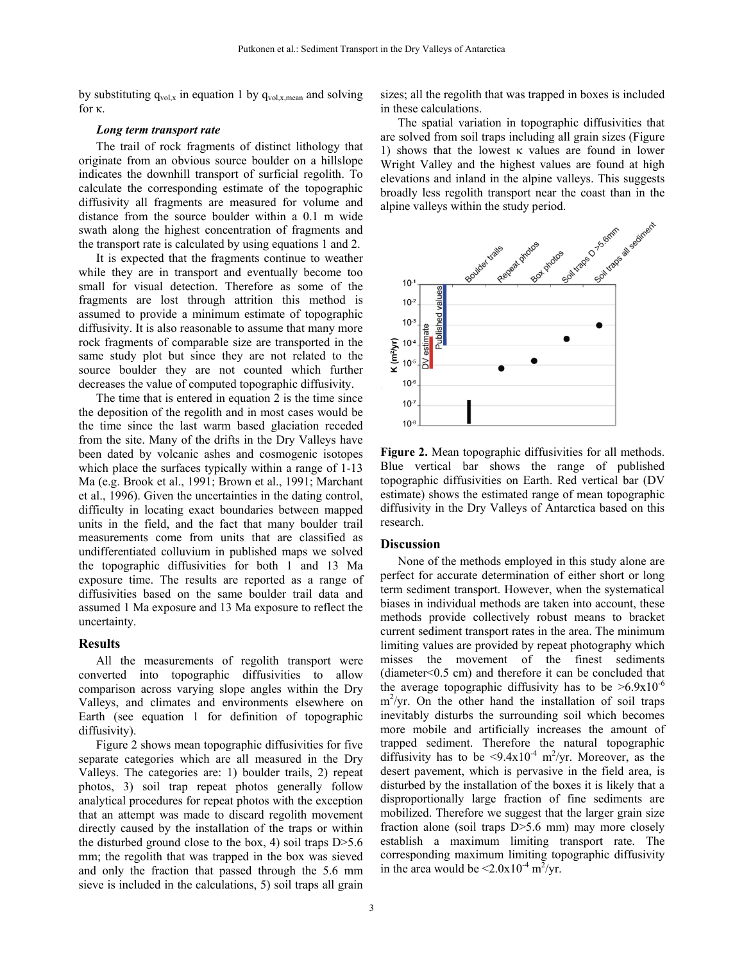by substituting  $q_{vol,x}$  in equation 1 by  $q_{vol,x,mean}$  and solving for κ.

sizes; all the regolith that was trapped in boxes is included in these calculations.

#### Long term transport rate

The trail of rock fragments of distinct lithology that originate from an obvious source boulder on a hillslope indicates the downhill transport of surficial regolith. To calculate the corresponding estimate of the topographic diffusivity all fragments are measured for volume and distance from the source boulder within a 0.1 m wide swath along the highest concentration of fragments and the transport rate is calculated by using equations 1 and 2.

It is expected that the fragments continue to weather while they are in transport and eventually become too small for visual detection. Therefore as some of the fragments are lost through attrition this method is assumed to provide a minimum estimate of topographic diffusivity. It is also reasonable to assume that many more rock fragments of comparable size are transported in the same study plot but since they are not related to the source boulder they are not counted which further decreases the value of computed topographic diffusivity.

The time that is entered in equation 2 is the time since the deposition of the regolith and in most cases would be the time since the last warm based glaciation receded from the site. Many of the drifts in the Dry Valleys have been dated by volcanic ashes and cosmogenic isotopes which place the surfaces typically within a range of 1-13 Ma (e.g. Brook et al., 1991; Brown et al., 1991; Marchant et al., 1996). Given the uncertainties in the dating control, difficulty in locating exact boundaries between mapped units in the field, and the fact that many boulder trail measurements come from units that are classified as undifferentiated colluvium in published maps we solved the topographic diffusivities for both 1 and 13 Ma exposure time. The results are reported as a range of diffusivities based on the same boulder trail data and assumed 1 Ma exposure and 13 Ma exposure to reflect the uncertainty.

#### Results

All the measurements of regolith transport were converted into topographic diffusivities to allow comparison across varying slope angles within the Dry Valleys, and climates and environments elsewhere on Earth (see equation 1 for definition of topographic diffusivity).

Figure 2 shows mean topographic diffusivities for five separate categories which are all measured in the Dry Valleys. The categories are: 1) boulder trails, 2) repeat photos, 3) soil trap repeat photos generally follow analytical procedures for repeat photos with the exception that an attempt was made to discard regolith movement directly caused by the installation of the traps or within the disturbed ground close to the box, 4) soil traps  $D > 5.6$ mm; the regolith that was trapped in the box was sieved and only the fraction that passed through the 5.6 mm sieve is included in the calculations, 5) soil traps all grain

The spatial variation in topographic diffusivities that are solved from soil traps including all grain sizes (Figure 1) shows that the lowest κ values are found in lower Wright Valley and the highest values are found at high elevations and inland in the alpine valleys. This suggests broadly less regolith transport near the coast than in the



Figure 2. Mean topographic diffusivities for all methods. Blue vertical bar shows the range of published topographic diffusivities on Earth. Red vertical bar (DV estimate) shows the estimated range of mean topographic diffusivity in the Dry Valleys of Antarctica based on this research.

## **Discussion**

None of the methods employed in this study alone are perfect for accurate determination of either short or long term sediment transport. However, when the systematical biases in individual methods are taken into account, these methods provide collectively robust means to bracket current sediment transport rates in the area. The minimum limiting values are provided by repeat photography which misses the movement of the finest sediments (diameter<0.5 cm) and therefore it can be concluded that the average topographic diffusivity has to be  $>6.9x10^{-6}$ m<sup>2</sup>/yr. On the other hand the installation of soil traps inevitably disturbs the surrounding soil which becomes more mobile and artificially increases the amount of trapped sediment. Therefore the natural topographic diffusivity has to be  $\langle 9.4 \times 10^{-4} \text{ m}^2/\text{yr}}$ . Moreover, as the desert pavement, which is pervasive in the field area, is disturbed by the installation of the boxes it is likely that a disproportionally large fraction of fine sediments are mobilized. Therefore we suggest that the larger grain size fraction alone (soil traps D>5.6 mm) may more closely establish a maximum limiting transport rate. The corresponding maximum limiting topographic diffusivity in the area would be  $\leq 2.0x10^{-4} \text{ m}^2/\text{yr}}$ .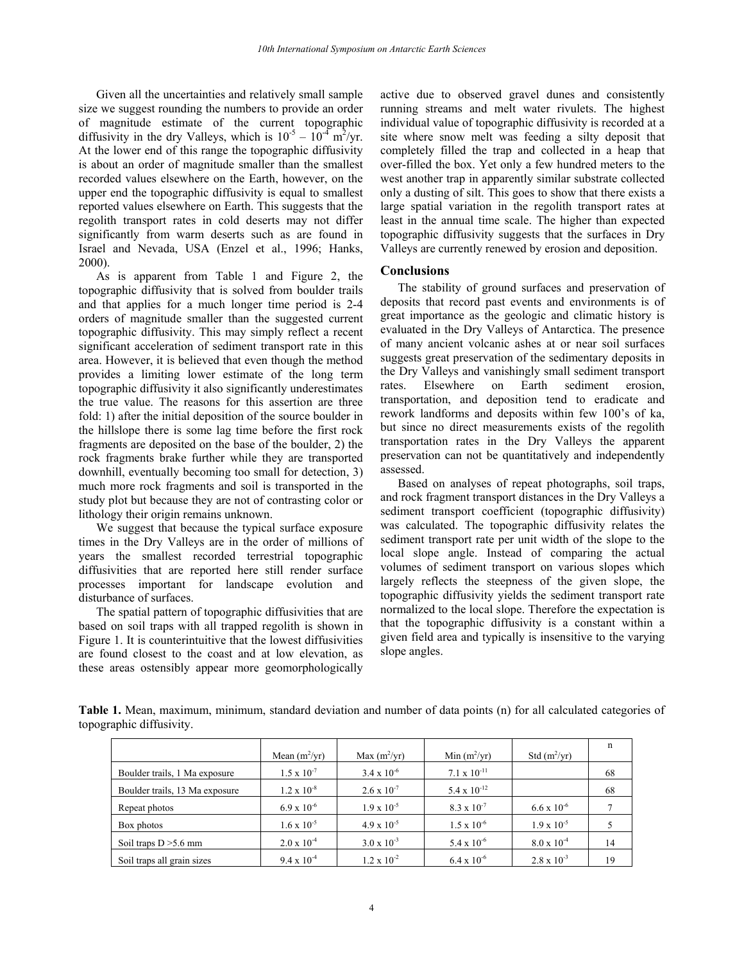Given all the uncertainties and relatively small sample size we suggest rounding the numbers to provide an order of magnitude estimate of the current topographic diffusivity in the dry Valleys, which is  $10^{-5} - 10^{-4}$  m<sup>2</sup>/yr. At the lower end of this range the topographic diffusivity is about an order of magnitude smaller than the smallest recorded values elsewhere on the Earth, however, on the upper end the topographic diffusivity is equal to smallest reported values elsewhere on Earth. This suggests that the regolith transport rates in cold deserts may not differ significantly from warm deserts such as are found in Israel and Nevada, USA (Enzel et al., 1996; Hanks, 2000).

As is apparent from Table 1 and Figure 2, the topographic diffusivity that is solved from boulder trails and that applies for a much longer time period is 2-4 orders of magnitude smaller than the suggested current topographic diffusivity. This may simply reflect a recent significant acceleration of sediment transport rate in this area. However, it is believed that even though the method provides a limiting lower estimate of the long term topographic diffusivity it also significantly underestimates the true value. The reasons for this assertion are three fold: 1) after the initial deposition of the source boulder in the hillslope there is some lag time before the first rock fragments are deposited on the base of the boulder, 2) the rock fragments brake further while they are transported downhill, eventually becoming too small for detection, 3) much more rock fragments and soil is transported in the study plot but because they are not of contrasting color or lithology their origin remains unknown.

We suggest that because the typical surface exposure times in the Dry Valleys are in the order of millions of years the smallest recorded terrestrial topographic diffusivities that are reported here still render surface processes important for landscape evolution and disturbance of surfaces.

The spatial pattern of topographic diffusivities that are based on soil traps with all trapped regolith is shown in Figure 1. It is counterintuitive that the lowest diffusivities are found closest to the coast and at low elevation, as these areas ostensibly appear more geomorphologically

active due to observed gravel dunes and consistently running streams and melt water rivulets. The highest individual value of topographic diffusivity is recorded at a site where snow melt was feeding a silty deposit that completely filled the trap and collected in a heap that over-filled the box. Yet only a few hundred meters to the west another trap in apparently similar substrate collected only a dusting of silt. This goes to show that there exists a large spatial variation in the regolith transport rates at least in the annual time scale. The higher than expected topographic diffusivity suggests that the surfaces in Dry Valleys are currently renewed by erosion and deposition.

# Conclusions

The stability of ground surfaces and preservation of deposits that record past events and environments is of great importance as the geologic and climatic history is evaluated in the Dry Valleys of Antarctica. The presence of many ancient volcanic ashes at or near soil surfaces suggests great preservation of the sedimentary deposits in the Dry Valleys and vanishingly small sediment transport rates. Elsewhere on Earth sediment erosion, transportation, and deposition tend to eradicate and rework landforms and deposits within few 100's of ka, but since no direct measurements exists of the regolith transportation rates in the Dry Valleys the apparent preservation can not be quantitatively and independently assessed.

Based on analyses of repeat photographs, soil traps, and rock fragment transport distances in the Dry Valleys a sediment transport coefficient (topographic diffusivity) was calculated. The topographic diffusivity relates the sediment transport rate per unit width of the slope to the local slope angle. Instead of comparing the actual volumes of sediment transport on various slopes which largely reflects the steepness of the given slope, the topographic diffusivity yields the sediment transport rate normalized to the local slope. Therefore the expectation is that the topographic diffusivity is a constant within a given field area and typically is insensitive to the varying slope angles.

Table 1. Mean, maximum, minimum, standard deviation and number of data points (n) for all calculated categories of topographic diffusivity.

|                                | Mean $(m^2/yr)$      | Max $(m^2/yr)$       | Min $(m^2/yr)$        | Std $(m^2/yr)$       | n  |
|--------------------------------|----------------------|----------------------|-----------------------|----------------------|----|
|                                |                      |                      |                       |                      |    |
| Boulder trails, 1 Ma exposure  | $1.5 \times 10^{-7}$ | $3.4 \times 10^{-6}$ | $7.1 \times 10^{-11}$ |                      | 68 |
| Boulder trails, 13 Ma exposure | $1.2 \times 10^{-8}$ | $2.6 \times 10^{-7}$ | 5.4 x $10^{-12}$      |                      | 68 |
| Repeat photos                  | $6.9 \times 10^{-6}$ | $1.9 \times 10^{-5}$ | $8.3 \times 10^{-7}$  | $6.6 \times 10^{-6}$ |    |
| Box photos                     | $1.6 \times 10^{-5}$ | $4.9 \times 10^{-5}$ | $1.5 \times 10^{-6}$  | $1.9 \times 10^{-5}$ |    |
| Soil traps $D > 5.6$ mm        | $2.0 \times 10^{-4}$ | $3.0 \times 10^{-3}$ | $5.4 \times 10^{-6}$  | $8.0 \times 10^{-4}$ | 14 |
| Soil traps all grain sizes     | $9.4 \times 10^{-4}$ | $1.2 \times 10^{-2}$ | $6.4 \times 10^{-6}$  | $2.8 \times 10^{-3}$ | 19 |